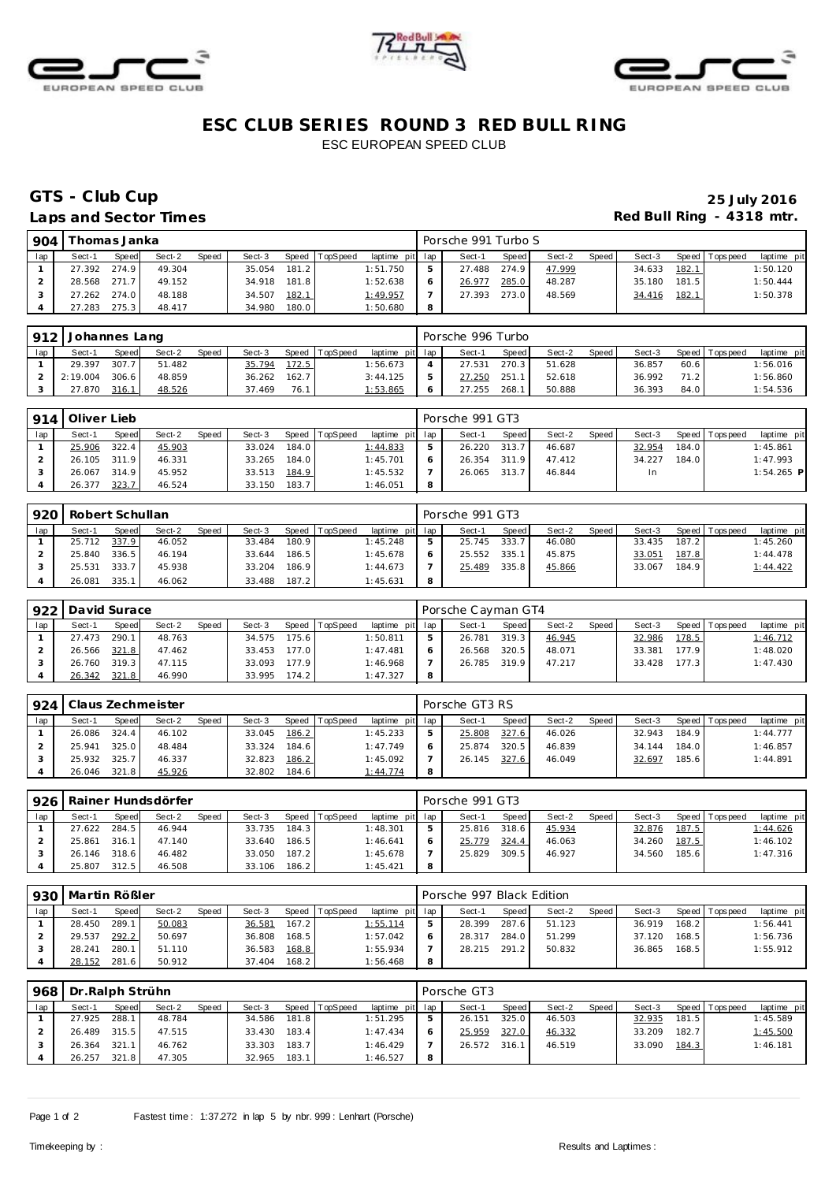





## **ESC CLUB SERIES ROUND 3 RED BULL RING** ESC EUROPEAN SPEED CLUB

# GTS - Club Cup<br>
Laps and Sector Times<br>
Laps and Sector Times Red Bull Ring - 4318 mtr.

| 904 |              | Thomas Janka |        |       |        |       |          |                 |   | Porsche 991 Turbo S |       |        |       |        |       |                 |             |
|-----|--------------|--------------|--------|-------|--------|-------|----------|-----------------|---|---------------------|-------|--------|-------|--------|-------|-----------------|-------------|
| lap | Sect-1       | Speed        | Sect-2 | Speed | Sect-3 | Speed | TopSpeed | laptime pit lap |   | Sect-1              | Speed | Sect-2 | Speed | Sect-3 |       | Speed Tops peed | laptime pit |
|     | 27.392 274.9 |              | 49.304 |       | 35.054 | 181.2 |          | 1:51.750        | ь | 27.488              | 274.9 | 47.999 |       | 34.633 | 182.1 |                 | 1:50.120    |
|     | 28.568 271.7 |              | 49.152 |       | 34.918 | 181.8 |          | 1:52.638        | 6 | 26.977              | 285.0 | 48.287 |       | 35.180 | 181.5 |                 | 1:50.444    |
|     | 27.262 274.0 |              | 48.188 |       | 34.507 | 182.1 |          | 1:49.957        |   | 27.393              | 273.0 | 48.569 |       | 34.416 | 182.1 |                 | 1:50.378    |
|     | 27.283       | 275.3        | 48.417 |       | 34.980 | 180.0 |          | 1:50.680        | 8 |                     |       |        |       |        |       |                 |             |

|     | 912 Johannes Lang |       |        |              |        |       |                |                 | Porsche 996 Turbo |       |        |       |        |      |                   |             |
|-----|-------------------|-------|--------|--------------|--------|-------|----------------|-----------------|-------------------|-------|--------|-------|--------|------|-------------------|-------------|
| lap | Sect-1            | Speed | Sect-2 | <b>Speed</b> | Sect-3 |       | Speed TopSpeed | laptime pit lap | Sect-1            | Speed | Sect-2 | Speed | Sect-3 |      | Speed   Tops peed | laptime pit |
|     | 29.397            | 307.7 | 51.482 |              | 35.794 | 172.5 |                | 1:56.673        | 27.531            | 270.3 | 51.628 |       | 36.857 | 60.6 |                   | 1:56.016    |
|     | 2:19.004          | 306.6 | 48.859 |              | 36.262 | 162.7 |                | 3:44.125        | 27.250            | 251.  | 52.618 |       | 36.992 | 71.2 |                   | 1:56.860    |
|     | 27.870            | 316.1 | 48.526 |              | 37.469 | 76.1  |                | 1:53.865        | 27.255            | 268.1 | 50.888 |       | 36.393 | 84.0 |                   | 1:54.536    |

|     | 914 Oliver Lieb |              |        |              |        |       |          |                 |   | Porsche 991 GT3 |              |        |         |        |       |                 |              |
|-----|-----------------|--------------|--------|--------------|--------|-------|----------|-----------------|---|-----------------|--------------|--------|---------|--------|-------|-----------------|--------------|
| lap | Sect-1          | <b>Speed</b> | Sect-2 | <b>Speed</b> | Sect-3 | Speed | TopSpeed | laptime pit lap |   | Sect-1          | <b>Speed</b> | Sect-2 | Speed i | Sect-3 |       | Speed Tops peed | laptime pit  |
|     | 25.906          | 322.4        | 45.903 |              | 33.024 | 184.0 |          | 1:44.833        | 5 | 26.220 313.7    |              | 46.687 |         | 32.954 | 184.0 |                 | 1:45.861     |
|     | 26.105 311.9    |              | 46.331 |              | 33.265 | 184.0 |          | 1:45.701        | 6 | 26.354 311.9    |              | 47.412 |         | 34.227 | 184.0 |                 | 1:47.993     |
|     | 26.067          | 314.9        | 45.952 |              | 33.513 | 184.9 |          | 1:45.532        |   | 26.065 313.7    |              | 46.844 |         | In.    |       |                 | $1:54.265$ P |
|     | 26.377          | 323.7        | 46.524 |              | 33.150 | 183.7 |          | 1:46.051        | 8 |                 |              |        |         |        |       |                 |              |

| 920 | Robert Schullan |       |        |       |        |       |                |                 |   | Porsche 991 GT3 |              |        |       |        |       |                |             |
|-----|-----------------|-------|--------|-------|--------|-------|----------------|-----------------|---|-----------------|--------------|--------|-------|--------|-------|----------------|-------------|
| lap | Sect-1          | Speed | Sect-2 | Speed | Sect-3 |       | Speed TopSpeed | laptime pit lap |   | Sect-1          | <b>Speed</b> | Sect-2 | Speed | Sect-3 |       | Speed Topspeed | laptime pit |
|     | 25.712 337.9    |       | 46.052 |       | 33.484 | 180.9 |                | 1:45.248        |   | 25.745          | 333.7        | 46.080 |       | 33.435 | 187.2 |                | 1:45.260    |
|     | 25.840          | 336.5 | 46.194 |       | 33.644 | 186.5 |                | 1:45.678        | 6 | 25.552          | 335.1        | 45.875 |       | 33.051 | 187.8 |                | 1:44.478    |
|     | 25.531          | 333.7 | 45.938 |       | 33.204 | 186.9 |                | 1:44.673        |   | 25.489          | 335.8        | 45.866 |       | 33.067 | 184.9 |                | 1:44.422    |
|     | 26.081          | 335.1 | 46.062 |       | 33.488 | 187.2 |                | 1:45.631        | 8 |                 |              |        |       |        |       |                |             |

|     | 922 David Surace |              |        |       |        |       |          |                 |   | Porsche Cayman GT4 |       |        |       |        |       |                 |             |
|-----|------------------|--------------|--------|-------|--------|-------|----------|-----------------|---|--------------------|-------|--------|-------|--------|-------|-----------------|-------------|
| lap | Sect-1           | <b>Speed</b> | Sect-2 | Speed | Sect-3 | Speed | TopSpeed | laptime pit lap |   | Sect-1             | Speed | Sect-2 | Speed | Sect-3 |       | Speed Tops peed | laptime pit |
|     | 27.473           | 290.1        | 48.763 |       | 34.575 | 175.6 |          | 1:50.811        |   | 26.781             | 319.3 | 46.945 |       | 32.986 | 178.5 |                 | 1:46.712    |
|     | 26.566 321.8     |              | 47.462 |       | 33.453 | 177.0 |          | 1:47.481        |   | 26.568             | 320.5 | 48.071 |       | 33.381 | 177.9 |                 | 1:48.020    |
|     | 26.760           | 319.3        | 47.115 |       | 33.093 | 177.9 |          | 1:46.968        |   | 26.785 319.9       |       | 47.217 |       | 33.428 | 177.3 |                 | 1:47.430    |
|     | 26.342           | 321.8        | 46.990 |       | 33.995 | 174.2 |          | 1:47.327        | 8 |                    |       |        |       |        |       |                 |             |

| 924 |        |       | Claus Zechmeister |       |        |       |                |                 |   | Porsche GT3 RS |              |        |       |        |       |                 |             |
|-----|--------|-------|-------------------|-------|--------|-------|----------------|-----------------|---|----------------|--------------|--------|-------|--------|-------|-----------------|-------------|
| lap | Sect-1 | Speed | Sect-2            | Speed | Sect-3 |       | Speed TopSpeed | laptime pit lap |   | Sect-1         | <b>Speed</b> | Sect-2 | Speed | Sect-3 |       | Speed Tops peed | laptime pit |
|     | 26.086 | 324.4 | 46.102            |       | 33.045 | 186.2 |                | 1:45.233        |   | 25.808         | 327.6        | 46.026 |       | 32.943 | 184.9 |                 | 1:44.777    |
|     | 25.941 | 325.0 | 48.484            |       | 33.324 | 184.6 |                | 1:47.749        |   | 25.874         | 320.5        | 46.839 |       | 34.144 | 184.0 |                 | 1:46.857    |
|     | 25.932 | 325.7 | 46.337            |       | 32.823 | 186.2 |                | 1:45.092        |   | 26.145         | 327.6        | 46.049 |       | 32.697 | 185.6 |                 | 1:44.891    |
|     | 26.046 | 321.8 | 45.926            |       | 32.802 | 184.6 |                | 1:44.774        | 8 |                |              |        |       |        |       |                 |             |

| 926 |        |       | l Rainer Hundsdörfer |              |        |       |                |                 |   | Porsche 991 GT3 |       |        |       |        |       |                |             |
|-----|--------|-------|----------------------|--------------|--------|-------|----------------|-----------------|---|-----------------|-------|--------|-------|--------|-------|----------------|-------------|
| lap | Sect-1 | Speed | Sect-2               | <b>Speed</b> | Sect-3 |       | Speed TopSpeed | laptime pit lap |   | Sect-1          | Speed | Sect-2 | Speed | Sect-3 |       | Speed Topspeed | laptime pit |
|     | 27.622 | 284.5 | 46.944               |              | 33.735 | 184.3 |                | 1:48.301        |   | 25.816          | 318.6 | 45.934 |       | 32.876 | 187.5 |                | 1:44.626    |
|     | 25.861 | 316.1 | 47.140               |              | 33.640 | 186.5 |                | 1:46.641        |   | 25.779          | 324.4 | 46.063 |       | 34.260 | 187.5 |                | 1:46.102    |
|     | 26.146 | 318.6 | 46.482               |              | 33.050 | 187.2 |                | 1:45.678        |   | 25.829          | 309.5 | 46.927 |       | 34.560 | 185.6 |                | 1:47.316    |
|     | 25.807 | 312.5 | 46.508               |              | 33.106 | 186.2 |                | 1:45.421        | 8 |                 |       |        |       |        |       |                |             |

|     |        | 930   Martin Rößler<br>Speed TopSpeed<br>Sect-2<br><b>Speed</b><br>Sect-3<br>Sect-1<br>Speed<br>289.1<br>50.083<br>167.2<br>28.450<br>36.581 |        |  |        |       |  |                 |   | Porsche 997 Black Edition |       |        |       |        |       |                 |             |
|-----|--------|----------------------------------------------------------------------------------------------------------------------------------------------|--------|--|--------|-------|--|-----------------|---|---------------------------|-------|--------|-------|--------|-------|-----------------|-------------|
| lap |        |                                                                                                                                              |        |  |        |       |  | laptime pit lap |   | Sect-1                    | Speed | Sect-2 | Speed | Sect-3 |       | Speed Tops peed | laptime pit |
|     |        |                                                                                                                                              |        |  |        |       |  | 1:55.114        | 5 | 28.399                    | 287.6 | 51.123 |       | 36.919 | 168.2 |                 | 1:56.441    |
|     | 29.537 | 292.2                                                                                                                                        | 50.697 |  | 36.808 | 168.5 |  | 1:57.042        |   | 28.317                    | 284.0 | 51.299 |       | 37.120 | 168.5 |                 | 1:56.736    |
|     | 28.241 | 280.11                                                                                                                                       | 51.110 |  | 36.583 | 168.8 |  | 1:55.934        |   | 28.215                    | 291.2 | 50.832 |       | 36.865 | 168.5 |                 | 1:55.912    |
|     | 28.152 | 281.6                                                                                                                                        | 50.912 |  | 37.404 | 168.2 |  | 1:56.468        | 8 |                           |       |        |       |        |       |                 |             |

| 968 | Dr.Ralph Strühn |              |        |       |        |       |                |                 | Porsche GT3  |       |        |       |        |       |                 |             |
|-----|-----------------|--------------|--------|-------|--------|-------|----------------|-----------------|--------------|-------|--------|-------|--------|-------|-----------------|-------------|
| lap | Sect-1          | <b>Speed</b> | Sect-2 | Speed | Sect-3 |       | Speed TopSpeed | laptime pit lap | Sect-1       | Speed | Sect-2 | Speed | Sect-3 |       | Speed Tops peed | laptime pit |
|     | 27.925          | 288.1        | 48.784 |       | 34.586 | 181.8 |                | 1:51.295        | 26.151       | 325.0 | 46.503 |       | 32.935 | 181.5 |                 | 1:45.589    |
|     | 26.489          | 315.5        | 47.515 |       | 33.430 | 183.4 |                | 1:47.434        | 25.959       | 327.0 | 46.332 |       | 33.209 | 182.7 |                 | 1:45.500    |
|     | 26.364          | 321.1        | 46.762 |       | 33.303 | 183.7 |                | 1:46.429        | 26.572 316.1 |       | 46.519 |       | 33.090 | 184.3 |                 | 1:46.181    |
|     | 26.257          | 321.8        | 47.305 |       | 32.965 | 183.1 |                | 1:46.527        |              |       |        |       |        |       |                 |             |